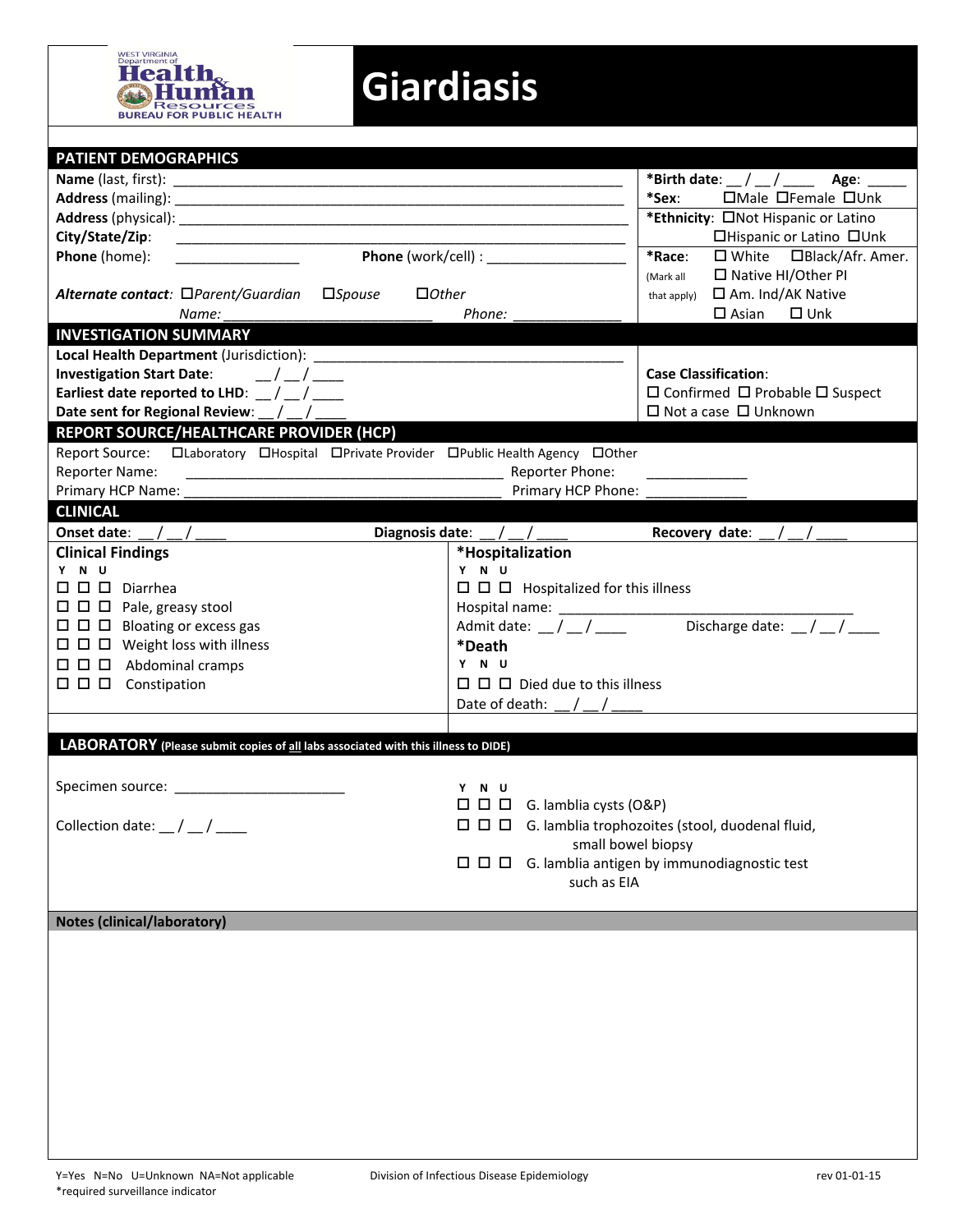

## **Giardiasis**

| <b>PATIENT DEMOGRAPHICS</b>                                                                                                            |                                                                                            |
|----------------------------------------------------------------------------------------------------------------------------------------|--------------------------------------------------------------------------------------------|
|                                                                                                                                        | *Birth date: $\_\,\_\,\_\,\_\,\_\,\_\$ Age: ____                                           |
|                                                                                                                                        | *Sex:<br>$\Box$ Male $\Box$ Female $\Box$ Unk                                              |
|                                                                                                                                        | *Ethnicity: ONot Hispanic or Latino                                                        |
| City/State/Zip:                                                                                                                        | □Hispanic or Latino □Unk                                                                   |
| Phone (home):                                                                                                                          | *Race:<br>$\Box$ White $\Box$ Black/Afr. Amer.                                             |
|                                                                                                                                        | □ Native HI/Other PI<br>(Mark all                                                          |
| Alternate contact: □Parent/Guardian<br>$\square$ <i>Spouse</i><br>$\Box$ Other                                                         | □ Am. Ind/AK Native<br>that apply)                                                         |
| Name:                                                                                                                                  | $\square$ Unk<br>$\square$ Asian<br>Phone:                                                 |
| <b>INVESTIGATION SUMMARY</b>                                                                                                           |                                                                                            |
|                                                                                                                                        |                                                                                            |
| Investigation Start Date: $\frac{1}{2}$ / $\frac{1}{2}$ / $\frac{1}{2}$                                                                | <b>Case Classification:</b>                                                                |
| Earliest date reported to LHD: $\frac{1}{2}$ / $\frac{1}{2}$                                                                           | $\square$ Confirmed $\square$ Probable $\square$ Suspect                                   |
| Date sent for Regional Review: _/ _/ _/                                                                                                | $\Box$ Not a case $\Box$ Unknown                                                           |
| REPORT SOURCE/HEALTHCARE PROVIDER (HCP)                                                                                                |                                                                                            |
| Report Source:<br><b>Report Source: IDED</b> Constant <b>IDED</b> CPrivate Provider <b>IDED</b> CPublic Health Agency <b>IDED</b> Cher |                                                                                            |
| <b>Reporter Name:</b>                                                                                                                  | Reporter Phone:                                                                            |
| Primary HCP Name:                                                                                                                      | Primary HCP Phone:                                                                         |
| <b>CLINICAL</b>                                                                                                                        |                                                                                            |
| Onset date:                                                                                                                            | Diagnosis date: $\frac{1}{2}$ / $\frac{1}{2}$ / $\frac{1}{2}$<br>Recovery date:            |
| <b>Clinical Findings</b>                                                                                                               | *Hospitalization                                                                           |
| Y N U                                                                                                                                  | Y N U                                                                                      |
| $\square$ $\square$ $\square$ Diarrhea                                                                                                 | $\Box$ $\Box$ Hospitalized for this illness                                                |
| $\Box$ $\Box$ $\Box$ Pale, greasy stool                                                                                                |                                                                                            |
| $\Box$ $\Box$ Bloating or excess gas                                                                                                   | Discharge date: $\frac{1}{2}$ / $\frac{1}{2}$<br>Admit date: $\frac{1}{2}$ / $\frac{1}{2}$ |
| $\Box$ $\Box$ Weight loss with illness                                                                                                 | *Death                                                                                     |
| $\Box$ $\Box$ Abdominal cramps                                                                                                         | Y N U                                                                                      |
| $\square$ $\square$ $\square$ Constipation                                                                                             | $\Box$ $\Box$ Died due to this illness                                                     |
|                                                                                                                                        | Date of death: $\angle$ / $\angle$                                                         |
|                                                                                                                                        |                                                                                            |
| LABORATORY (Please submit copies of all labs associated with this illness to DIDE)                                                     |                                                                                            |
|                                                                                                                                        |                                                                                            |
| Specimen source: __________________________                                                                                            | Y N U                                                                                      |
|                                                                                                                                        | $\Box$ $\Box$ $\Box$ G. lamblia cysts (O&P)                                                |
| Collection date: $\frac{1}{2}$ / $\frac{1}{2}$                                                                                         | $\Box$ $\Box$ G. lamblia trophozoites (stool, duodenal fluid,                              |
|                                                                                                                                        | small bowel biopsy                                                                         |
|                                                                                                                                        |                                                                                            |
|                                                                                                                                        | such as EIA                                                                                |
|                                                                                                                                        |                                                                                            |
| <b>Notes (clinical/laboratory)</b>                                                                                                     |                                                                                            |
|                                                                                                                                        |                                                                                            |
|                                                                                                                                        |                                                                                            |
|                                                                                                                                        |                                                                                            |
|                                                                                                                                        |                                                                                            |
|                                                                                                                                        |                                                                                            |
|                                                                                                                                        |                                                                                            |
|                                                                                                                                        |                                                                                            |
|                                                                                                                                        |                                                                                            |
|                                                                                                                                        |                                                                                            |
|                                                                                                                                        |                                                                                            |
|                                                                                                                                        |                                                                                            |